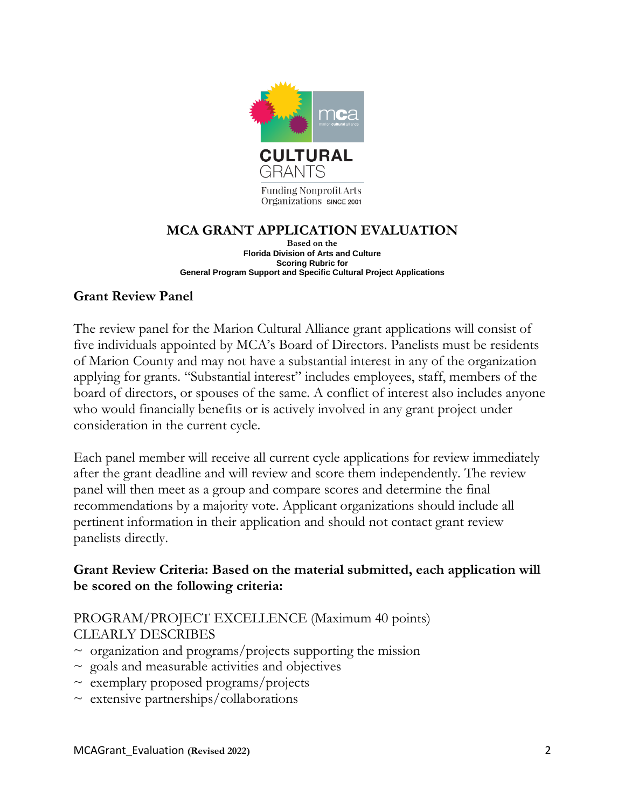

## **MCA GRANT APPLICATION EVALUATION**

**Based on the Florida Division of Arts and Culture Scoring Rubric for General Program Support and Specific Cultural Project Applications**

#### **Grant Review Panel**

The review panel for the Marion Cultural Alliance grant applications will consist of five individuals appointed by MCA's Board of Directors. Panelists must be residents of Marion County and may not have a substantial interest in any of the organization applying for grants. "Substantial interest" includes employees, staff, members of the board of directors, or spouses of the same. A conflict of interest also includes anyone who would financially benefits or is actively involved in any grant project under consideration in the current cycle.

Each panel member will receive all current cycle applications for review immediately after the grant deadline and will review and score them independently. The review panel will then meet as a group and compare scores and determine the final recommendations by a majority vote. Applicant organizations should include all pertinent information in their application and should not contact grant review panelists directly.

#### **Grant Review Criteria: Based on the material submitted, each application will be scored on the following criteria:**

## PROGRAM/PROJECT EXCELLENCE (Maximum 40 points) CLEARLY DESCRIBES

- $\sim$  organization and programs/projects supporting the mission
- $\sim$  goals and measurable activities and objectives
- $\sim$  exemplary proposed programs/projects
- $\sim$  extensive partnerships/collaborations